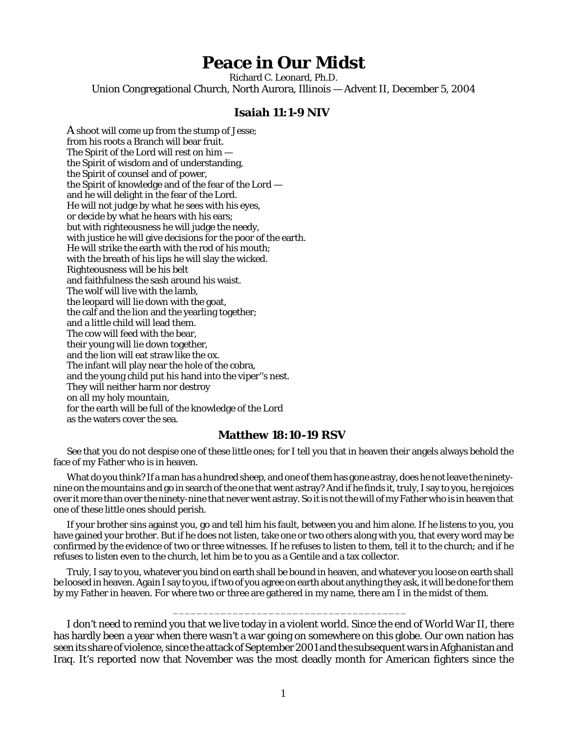## **Peace in Our Midst**

Richard C. Leonard, Ph.D. Union Congregational Church, North Aurora, Illinois — Advent II, December 5, 2004

## **Isaiah 11:1-9 NIV**

A shoot will come up from the stump of Jesse; from his roots a Branch will bear fruit. The Spirit of the Lord will rest on him the Spirit of wisdom and of understanding, the Spirit of counsel and of power, the Spirit of knowledge and of the fear of the Lord and he will delight in the fear of the Lord. He will not judge by what he sees with his eyes, or decide by what he hears with his ears; but with righteousness he will judge the needy, with justice he will give decisions for the poor of the earth. He will strike the earth with the rod of his mouth; with the breath of his lips he will slay the wicked. Righteousness will be his belt and faithfulness the sash around his waist. The wolf will live with the lamb, the leopard will lie down with the goat, the calf and the lion and the yearling together; and a little child will lead them. The cow will feed with the bear, their young will lie down together, and the lion will eat straw like the ox. The infant will play near the hole of the cobra, and the young child put his hand into the viper''s nest. They will neither harm nor destroy on all my holy mountain, for the earth will be full of the knowledge of the Lord as the waters cover the sea.

## **Matthew 18:10-19 RSV**

See that you do not despise one of these little ones; for I tell you that in heaven their angels always behold the face of my Father who is in heaven.

What do you think? If a man has a hundred sheep, and one of them has gone astray, does he not leave the ninetynine on the mountains and go in search of the one that went astray? And if he finds it, truly, I say to you, he rejoices over it more than over the ninety-nine that never went astray. So it is not the will of my Father who is in heaven that one of these little ones should perish.

If your brother sins against you, go and tell him his fault, between you and him alone. If he listens to you, you have gained your brother. But if he does not listen, take one or two others along with you, that every word may be confirmed by the evidence of two or three witnesses. If he refuses to listen to them, tell it to the church; and if he refuses to listen even to the church, let him be to you as a Gentile and a tax collector.

Truly, I say to you, whatever you bind on earth shall be bound in heaven, and whatever you loose on earth shall be loosed in heaven. Again I say to you, if two of you agree on earth about anything they ask, it will be done for them by my Father in heaven. For where two or three are gathered in my name, there am I in the midst of them.

\_\_\_\_\_\_\_\_\_\_\_\_\_\_\_\_\_\_\_\_\_\_\_\_\_\_\_\_\_\_\_\_\_\_\_\_\_\_\_

I don't need to remind you that we live today in a violent world. Since the end of World War II, there has hardly been a year when there wasn't a war going on somewhere on this globe. Our own nation has seen its share of violence, since the attack of September 2001 and the subsequent wars in Afghanistan and Iraq. It's reported now that November was the most deadly month for American fighters since the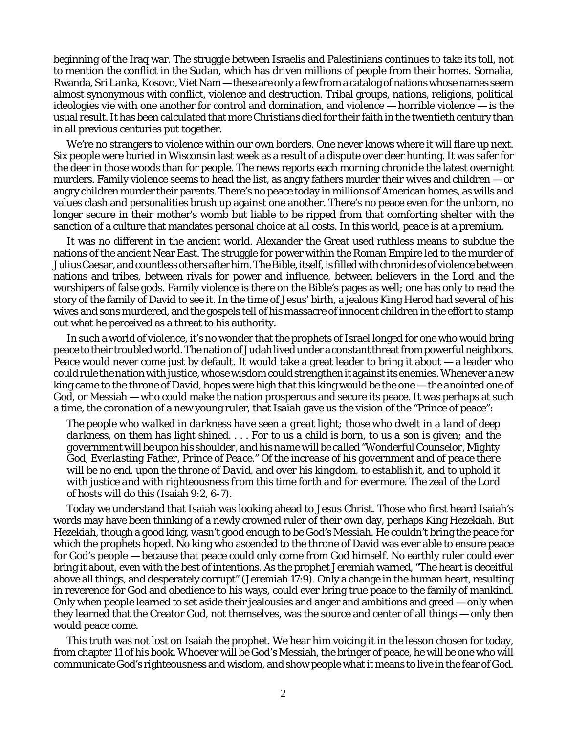beginning of the Iraq war. The struggle between Israelis and Palestinians continues to take its toll, not to mention the conflict in the Sudan, which has driven millions of people from their homes. Somalia, Rwanda, Sri Lanka, Kosovo, Viet Nam — these are only a few from a catalog of nations whose names seem almost synonymous with conflict, violence and destruction. Tribal groups, nations, religions, political ideologies vie with one another for control and domination, and violence — horrible violence — is the usual result. It has been calculated that more Christians died for their faith in the twentieth century than in all previous centuries put together.

We're no strangers to violence within our own borders. One never knows where it will flare up next. Six people were buried in Wisconsin last week as a result of a dispute over deer hunting. It was safer for the deer in those woods than for people. The news reports each morning chronicle the latest overnight murders. Family violence seems to head the list, as angry fathers murder their wives and children — or angry children murder their parents. There's no peace today in millions of American homes, as wills and values clash and personalities brush up against one another. There's no peace even for the unborn, no longer secure in their mother's womb but liable to be ripped from that comforting shelter with the sanction of a culture that mandates personal choice at all costs. In this world, peace is at a premium.

It was no different in the ancient world. Alexander the Great used ruthless means to subdue the nations of the ancient Near East. The struggle for power within the Roman Empire led to the murder of Julius Caesar, and countless others after him. The Bible, itself, is filled with chronicles of violence between nations and tribes, between rivals for power and influence, between believers in the Lord and the worshipers of false gods. Family violence is there on the Bible's pages as well; one has only to read the story of the family of David to see it. In the time of Jesus' birth, a jealous King Herod had several of his wives and sons murdered, and the gospels tell of his massacre of innocent children in the effort to stamp out what he perceived as a threat to his authority.

In such a world of violence, it's no wonder that the prophets of Israel longed for one who would bring peace to their troubled world. The nation of Judah lived under a constant threat from powerful neighbors. Peace would never come just by default. It would take a great leader to bring it about — a leader who could rule the nation with justice, whose wisdom could strengthen it against its enemies. Whenever a new king came to the throne of David, hopes were high that this king would be the one — the *anointed one* of God, or Messiah — who could make the nation prosperous and secure its peace. It was perhaps at such a time, the coronation of a new young ruler, that Isaiah gave us the vision of the "Prince of peace":

*The people who walked in darkness have seen a great light; those who dwelt in a land of deep darkness, on them has light shined. . . . For to us a child is born, to us a son is given; and the government will be upon his shoulder, and his name will be called "Wonderful Counselor, Mighty God, Everlasting Father, Prince of Peace." Of the increase of his government and of peace there will be no end, upon the throne of David, and over his kingdom, to establish it, and to uphold it with justice and with righteousness from this time forth and for evermore. The zeal of the Lord of hosts will do this* (Isaiah 9:2, 6-7).

Today we understand that Isaiah was looking ahead to Jesus Christ. Those who first heard Isaiah's words may have been thinking of a newly crowned ruler of their own day, perhaps King Hezekiah. But Hezekiah, though a good king, wasn't good enough to be God's Messiah. He couldn't bring the peace for which the prophets hoped. No king who ascended to the throne of David was ever able to ensure peace for God's people — because that peace could only come from God himself. No earthly ruler could ever bring it about, even with the best of intentions. As the prophet Jeremiah warned, "The heart is deceitful above all things, and desperately corrupt" (Jeremiah 17:9). Only a change in the human heart, resulting in reverence for God and obedience to his ways, could ever bring true peace to the family of mankind. Only when people learned to set aside their jealousies and anger and ambitions and greed — only when they learned that the Creator God, not themselves, was the source and center of all things — only then would peace come.

This truth was not lost on Isaiah the prophet. We hear him voicing it in the lesson chosen for today, from chapter 11 of his book. Whoever will be God's Messiah, the bringer of peace, he will be one who will communicate God's righteousness and wisdom, and show people what it means to live in the fear of God.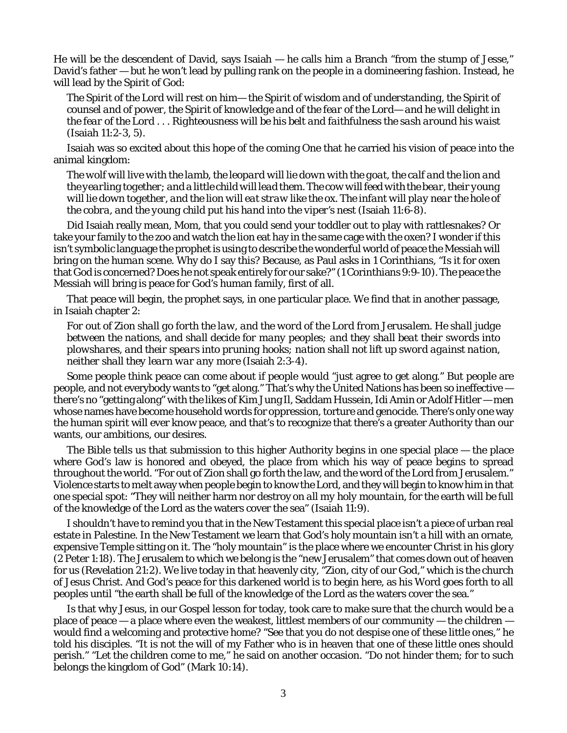He will be the descendent of David, says Isaiah — he calls him a Branch "from the stump of Jesse," David's father — but he won't lead by pulling rank on the people in a domineering fashion. Instead, he will lead by the Spirit of God:

*The Spirit of the Lord will rest on him— the Spirit of wisdom and of understanding, the Spirit of counsel and of power, the Spirit of knowledge and of the fear of the Lord— and he will delight in the fear of the Lord . . . Righteousness will be his belt and faithfulness the sash around his waist* (Isaiah 11:2-3, 5).

Isaiah was so excited about this hope of the coming One that he carried his vision of peace into the animal kingdom:

*The wolf will live with the lamb, the leopard will lie down with the goat, the calf and the lion and the yearling together; and a little child will lead them. The cow will feed with the bear, their young will lie down together, and the lion will eat straw like the ox. The infant will play near the hole of the cobra, and the young child put his hand into the viper's nest* (Isaiah 11:6-8).

Did Isaiah really mean, Mom, that you could send your toddler out to play with rattlesnakes? Or take your family to the zoo and watch the lion eat hay in the same cage with the oxen? I wonder if this isn't symbolic language the prophet is using to describe the wonderful world of peace the Messiah will bring on the *human* scene. Why do I say this? Because, as Paul asks in 1 Corinthians, "Is it for oxen that God is concerned? Does he not speak entirely for our sake?" (1 Corinthians 9:9-10). The peace the Messiah will bring is peace for God's human family, first of all.

That peace will begin, the prophet says, in one particular place. We find that in another passage, in Isaiah chapter 2:

*For out of Zion shall go forth the law, and the word of the Lord from Jerusalem. He shall judge between the nations, and shall decide for many peoples; and they shall beat their swords into plowshares, and their spears into pruning hooks; nation shall not lift up sword against nation, neither shall they learn war any more* (Isaiah 2:3-4).

Some people think peace can come about if people would "just agree to get along." But people are people, and not everybody wants to "get along." That's why the United Nations has been so ineffective there's no "getting along" with the likes of Kim Jung Il, Saddam Hussein, Idi Amin or Adolf Hitler — men whose names have become household words for oppression, torture and genocide. There's only one way the human spirit will ever know peace, and that's to recognize that there's a greater Authority than our wants, our ambitions, our desires.

The Bible tells us that submission to this higher Authority begins in one special place — the place where God's law is honored and obeyed, the place from which his way of peace begins to spread throughout the world. "For out of Zion shall go forth the law, and the word of the Lord from Jerusalem." Violence starts to melt away when people begin to know the Lord, and they will begin to know him in that one special spot: "They will neither harm nor destroy *on all my holy mountain*, for the earth will be full of the knowledge of the Lord as the waters cover the sea" (Isaiah 11:9).

I shouldn't have to remind you that in the New Testament this special place isn't a piece of urban real estate in Palestine. In the New Testament we learn that God's holy mountain isn't a hill with an ornate, expensive Temple sitting on it. The "holy mountain" is the place where we encounter Christ in his glory (2 Peter 1:18). The Jerusalem to which we belong is the "new Jerusalem" that comes down out of heaven for us (Revelation 21:2). We live today in that heavenly city, "Zion, city of our God," which is the church of Jesus Christ. And God's peace for this darkened world is to begin here, as his Word goes forth to all peoples until "the earth shall be full of the knowledge of the Lord as the waters cover the sea."

Is that why Jesus, in our Gospel lesson for today, took care to make sure that the church would be a place of peace — a place where even the weakest, littlest members of our community — the children would find a welcoming and protective home? "See that you do not despise one of these little ones," he told his disciples. "It is not the will of my Father who is in heaven that one of these little ones should perish." "Let the children come to me," he said on another occasion. "Do not hinder them; for to such belongs the kingdom of God" (Mark 10:14).